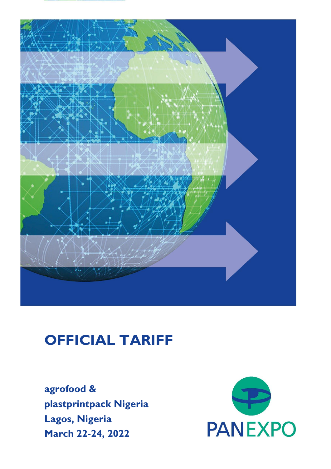# **OFFICIAL TARIFF**

**agrofood & plastprintpack Nigeria Lagos, Nigeria March 22-24, 2022**

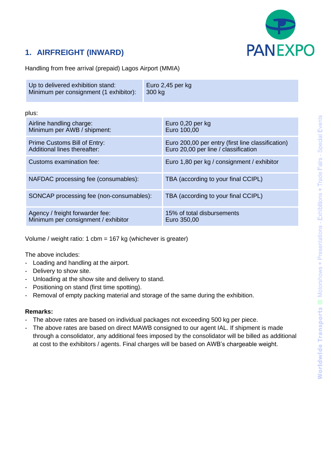

### **1. AIRFREIGHT (INWARD)**

Handling from free arrival (prepaid) Lagos Airport (MMIA)

| Up to delivered exhibition stand:      | Euro 2,45 per kg |
|----------------------------------------|------------------|
| Minimum per consignment (1 exhibitor): | ⊟ 300 ka         |
|                                        |                  |

plus:

| Airline handling charge:<br>Minimum per AWB / shipment:                | Euro 0,20 per kg<br>Euro 100,00                                                           |
|------------------------------------------------------------------------|-------------------------------------------------------------------------------------------|
| Prime Customs Bill of Entry:<br>Additional lines thereafter:           | Euro 200,00 per entry (first line classification)<br>Euro 20,00 per line / classification |
| Customs examination fee:                                               | Euro 1,80 per kg / consignment / exhibitor                                                |
| NAFDAC processing fee (consumables):                                   | TBA (according to your final CCIPL)                                                       |
| SONCAP processing fee (non-consumables):                               | TBA (according to your final CCIPL)                                                       |
| Agency / freight forwarder fee:<br>Minimum per consignment / exhibitor | 15% of total disbursements<br>Euro 350,00                                                 |

Volume / weight ratio: 1 cbm = 167 kg (whichever is greater)

The above includes:

- Loading and handling at the airport.
- Delivery to show site.
- Unloading at the show site and delivery to stand.
- Positioning on stand (first time spotting).
- Removal of empty packing material and storage of the same during the exhibition.

#### **Remarks:**

- The above rates are based on individual packages not exceeding 500 kg per piece.
- The above rates are based on direct MAWB consigned to our agent IAL. If shipment is made through a consolidator, any additional fees imposed by the consolidator will be billed as additional at cost to the exhibitors / agents. Final charges will be based on AWB's chargeable weight.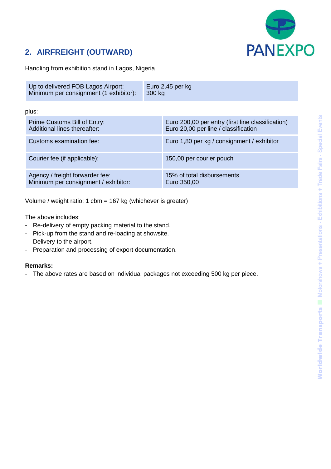

## **2. AIRFREIGHT (OUTWARD)**

Handling from exhibition stand in Lagos, Nigeria

| Up to delivered FOB Lagos Airport:     | Euro 2,45 per $kg$ |
|----------------------------------------|--------------------|
| Minimum per consignment (1 exhibitor): | 300 kg             |

plus:

| Prime Customs Bill of Entry:<br>Additional lines thereafter:            | Euro 200,00 per entry (first line classification)<br>Euro 20,00 per line / classification |
|-------------------------------------------------------------------------|-------------------------------------------------------------------------------------------|
| Customs examination fee:                                                | Euro 1,80 per kg / consignment / exhibitor                                                |
| Courier fee (if applicable):                                            | 150,00 per courier pouch                                                                  |
| Agency / freight forwarder fee:<br>Minimum per consignment / exhibitor: | 15% of total disbursements<br>Euro 350,00                                                 |

Volume / weight ratio: 1 cbm = 167 kg (whichever is greater)

The above includes:

- Re-delivery of empty packing material to the stand.
- Pick-up from the stand and re-loading at showsite.
- Delivery to the airport.
- Preparation and processing of export documentation.

#### **Remarks:**

- The above rates are based on individual packages not exceeding 500 kg per piece.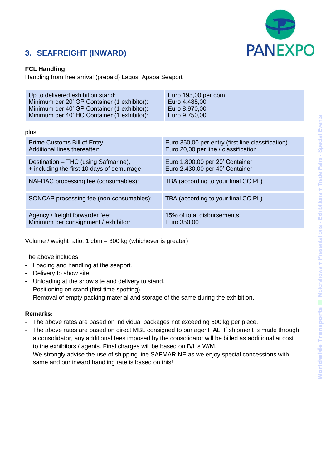

### **3. SEAFREIGHT (INWARD)**

#### **FCL Handling**

Handling from free arrival (prepaid) Lagos, Apapa Seaport

| Up to delivered exhibition stand:           | Euro 195,00 per cbm                               |
|---------------------------------------------|---------------------------------------------------|
| Minimum per 20' GP Container (1 exhibitor): | Euro 4.485,00                                     |
| Minimum per 40' GP Container (1 exhibitor): | Euro 8.970,00                                     |
| Minimum per 40' HC Container (1 exhibitor): | Euro 9.750,00                                     |
| plus:                                       |                                                   |
| Prime Customs Bill of Entry:                | Euro 350,00 per entry (first line classification) |
| Additional lines thereafter:                | Euro 20,00 per line / classification              |
| Destination – THC (using Safmarine),        | Euro 1.800,00 per 20' Container                   |
| + including the first 10 days of demurrage: | Euro 2.430,00 per 40' Container                   |
| NAFDAC processing fee (consumables):        | TBA (according to your final CCIPL)               |
| SONCAP processing fee (non-consumables):    | TBA (according to your final CCIPL)               |
| Agency / freight forwarder fee:             | 15% of total disbursements                        |
| Minimum per consignment / exhibitor:        | Euro 350,00                                       |

Volume / weight ratio: 1 cbm = 300 kg (whichever is greater)

The above includes:

- Loading and handling at the seaport.
- Delivery to show site.
- Unloading at the show site and delivery to stand.
- Positioning on stand (first time spotting).
- Removal of empty packing material and storage of the same during the exhibition.

#### **Remarks:**

- The above rates are based on individual packages not exceeding 500 kg per piece.
- The above rates are based on direct MBL consigned to our agent IAL. If shipment is made through a consolidator, any additional fees imposed by the consolidator will be billed as additional at cost to the exhibitors / agents. Final charges will be based on B/L's W/M.
- We strongly advise the use of shipping line SAFMARINE as we enjoy special concessions with same and our inward handling rate is based on this!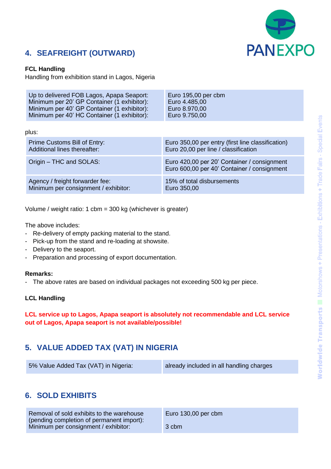

### **4. SEAFREIGHT (OUTWARD)**

#### **FCL Handling**

Handling from exhibition stand in Lagos, Nigeria

| Up to delivered FOB Lagos, Apapa Seaport:   | Euro 195,00 per cbm                                                                        |
|---------------------------------------------|--------------------------------------------------------------------------------------------|
| Minimum per 20' GP Container (1 exhibitor): | Euro 4.485,00                                                                              |
| Minimum per 40' GP Container (1 exhibitor): | Euro 8.970,00                                                                              |
| Minimum per 40' HC Container (1 exhibitor): | Euro 9.750,00                                                                              |
| plus:                                       |                                                                                            |
| Prime Customs Bill of Entry:                | Euro 350,00 per entry (first line classification)                                          |
| Additional lines thereafter:                | Euro 20,00 per line / classification                                                       |
| Origin – THC and SOLAS:                     | Euro 420,00 per 20' Container / consignment<br>Euro 600,00 per 40' Container / consignment |
| Agency / freight forwarder fee:             | 15% of total disbursements                                                                 |
| Minimum per consignment / exhibitor:        | Euro 350,00                                                                                |

Volume / weight ratio: 1 cbm = 300 kg (whichever is greater)

The above includes:

- Re-delivery of empty packing material to the stand.
- Pick-up from the stand and re-loading at showsite.
- Delivery to the seaport.
- Preparation and processing of export documentation.

#### **Remarks:**

- The above rates are based on individual packages not exceeding 500 kg per piece.

#### **LCL Handling**

**LCL service up to Lagos, Apapa seaport is absolutely not recommendable and LCL service out of Lagos, Apapa seaport is not available/possible!**

### **5. VALUE ADDED TAX (VAT) IN NIGERIA**

| 5% Value Added Tax (VAT) in Nigeria: | already included in all handling charges |
|--------------------------------------|------------------------------------------|
|--------------------------------------|------------------------------------------|

### **6. SOLD EXHIBITS**

| Removal of sold exhibits to the warehouse | Euro $130,00$ per cbm |
|-------------------------------------------|-----------------------|
| (pending completion of permanent import): |                       |
| Minimum per consignment / exhibitor:      | 3 cbm                 |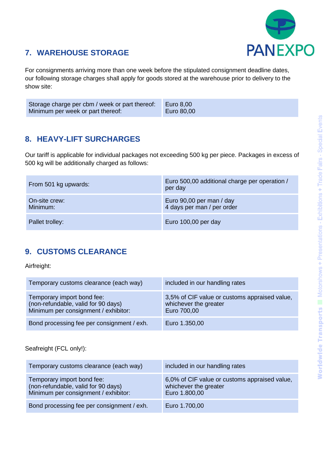

### **7. WAREHOUSE STORAGE**

For consignments arriving more than one week before the stipulated consignment deadline dates, our following storage charges shall apply for goods stored at the warehouse prior to delivery to the show site:

| Storage charge per cbm / week or part thereof: | Euro 8,00  |
|------------------------------------------------|------------|
| Minimum per week or part thereof:              | Euro 80,00 |

### **8. HEAVY-LIFT SURCHARGES**

Our tariff is applicable for individual packages not exceeding 500 kg per piece. Packages in excess of 500 kg will be additionally charged as follows:

| From 501 kg upwards:      | Euro 500,00 additional charge per operation /<br>per day |
|---------------------------|----------------------------------------------------------|
| On-site crew:<br>Minimum: | Euro 90,00 per man / day<br>4 days per man / per order   |
| Pallet trolley:           | Euro 100,00 per day                                      |

### **9. CUSTOMS CLEARANCE**

Airfreight:

| Temporary customs clearance (each way)                                                                    | included in our handling rates                                                        |
|-----------------------------------------------------------------------------------------------------------|---------------------------------------------------------------------------------------|
| Temporary import bond fee:<br>(non-refundable, valid for 90 days)<br>Minimum per consignment / exhibitor: | 3,5% of CIF value or customs appraised value,<br>whichever the greater<br>Euro 700,00 |
| Bond processing fee per consignment / exh.                                                                | Euro 1.350,00                                                                         |

Seafreight (FCL only!):

| Temporary customs clearance (each way)                                                                    | included in our handling rates                                                          |
|-----------------------------------------------------------------------------------------------------------|-----------------------------------------------------------------------------------------|
| Temporary import bond fee:<br>(non-refundable, valid for 90 days)<br>Minimum per consignment / exhibitor: | 6,0% of CIF value or customs appraised value,<br>whichever the greater<br>Euro 1.800,00 |
| Bond processing fee per consignment / exh.                                                                | Euro 1.700,00                                                                           |